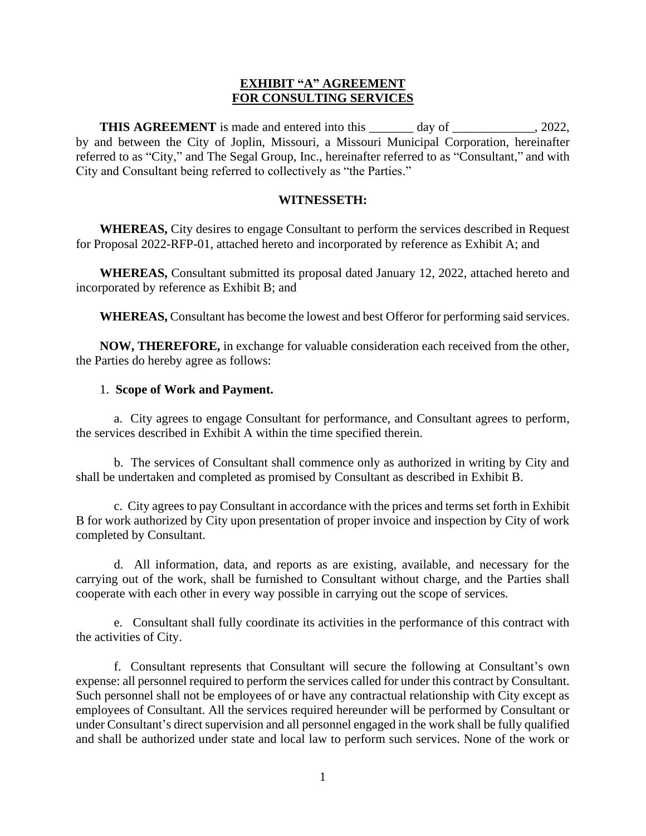## **EXHIBIT "A" AGREEMENT FOR CONSULTING SERVICES**

**THIS AGREEMENT** is made and entered into this \_\_\_\_\_\_ day of \_\_\_\_\_\_\_\_\_\_, 2022, by and between the City of Joplin, Missouri, a Missouri Municipal Corporation, hereinafter referred to as "City," and The Segal Group, Inc., hereinafter referred to as "Consultant," and with City and Consultant being referred to collectively as "the Parties."

## **WITNESSETH:**

**WHEREAS,** City desires to engage Consultant to perform the services described in Request for Proposal 2022-RFP-01, attached hereto and incorporated by reference as Exhibit A; and

**WHEREAS,** Consultant submitted its proposal dated January 12, 2022, attached hereto and incorporated by reference as Exhibit B; and

**WHEREAS,** Consultant has become the lowest and best Offeror for performing said services.

**NOW, THEREFORE,** in exchange for valuable consideration each received from the other, the Parties do hereby agree as follows:

## 1. **Scope of Work and Payment.**

a. City agrees to engage Consultant for performance, and Consultant agrees to perform, the services described in Exhibit A within the time specified therein.

b. The services of Consultant shall commence only as authorized in writing by City and shall be undertaken and completed as promised by Consultant as described in Exhibit B.

c. City agrees to pay Consultant in accordance with the prices and terms set forth in Exhibit B for work authorized by City upon presentation of proper invoice and inspection by City of work completed by Consultant.

d. All information, data, and reports as are existing, available, and necessary for the carrying out of the work, shall be furnished to Consultant without charge, and the Parties shall cooperate with each other in every way possible in carrying out the scope of services*.*

e. Consultant shall fully coordinate its activities in the performance of this contract with the activities of City.

f. Consultant represents that Consultant will secure the following at Consultant's own expense: all personnel required to perform the services called for under this contract by Consultant. Such personnel shall not be employees of or have any contractual relationship with City except as employees of Consultant. All the services required hereunder will be performed by Consultant or under Consultant's direct supervision and all personnel engaged in the work shall be fully qualified and shall be authorized under state and local law to perform such services. None of the work or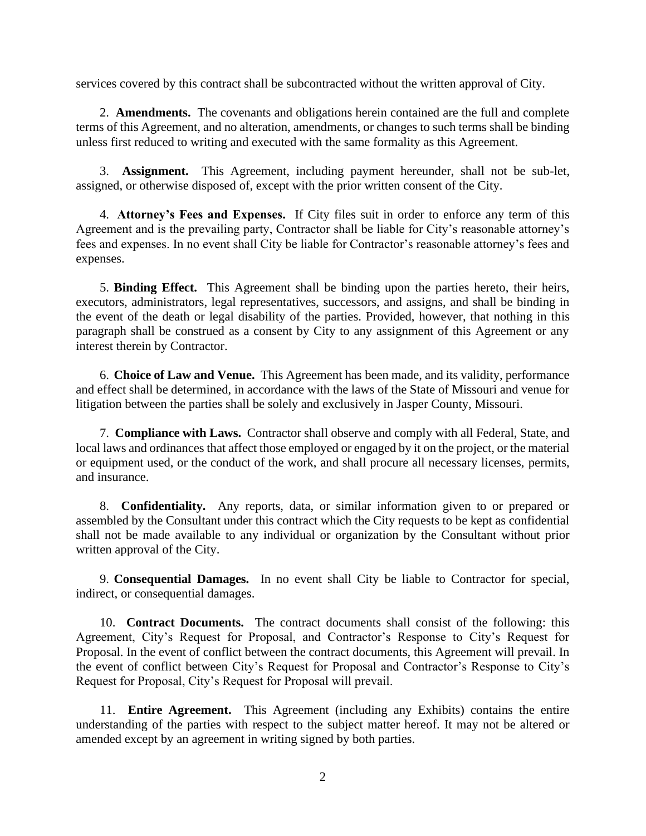services covered by this contract shall be subcontracted without the written approval of City.

2. **Amendments.** The covenants and obligations herein contained are the full and complete terms of this Agreement, and no alteration, amendments, or changes to such terms shall be binding unless first reduced to writing and executed with the same formality as this Agreement.

3. **Assignment.** This Agreement, including payment hereunder, shall not be sub-let, assigned, or otherwise disposed of, except with the prior written consent of the City.

4. **Attorney's Fees and Expenses.** If City files suit in order to enforce any term of this Agreement and is the prevailing party, Contractor shall be liable for City's reasonable attorney's fees and expenses. In no event shall City be liable for Contractor's reasonable attorney's fees and expenses.

5. **Binding Effect.** This Agreement shall be binding upon the parties hereto, their heirs, executors, administrators, legal representatives, successors, and assigns, and shall be binding in the event of the death or legal disability of the parties. Provided, however, that nothing in this paragraph shall be construed as a consent by City to any assignment of this Agreement or any interest therein by Contractor.

6. **Choice of Law and Venue.** This Agreement has been made, and its validity, performance and effect shall be determined, in accordance with the laws of the State of Missouri and venue for litigation between the parties shall be solely and exclusively in Jasper County, Missouri.

7. **Compliance with Laws.** Contractor shall observe and comply with all Federal, State, and local laws and ordinances that affect those employed or engaged by it on the project, or the material or equipment used, or the conduct of the work, and shall procure all necessary licenses, permits, and insurance.

8. **Confidentiality.** Any reports, data, or similar information given to or prepared or assembled by the Consultant under this contract which the City requests to be kept as confidential shall not be made available to any individual or organization by the Consultant without prior written approval of the City.

9. **Consequential Damages.** In no event shall City be liable to Contractor for special, indirect, or consequential damages.

10. **Contract Documents.** The contract documents shall consist of the following: this Agreement, City's Request for Proposal, and Contractor's Response to City's Request for Proposal. In the event of conflict between the contract documents, this Agreement will prevail. In the event of conflict between City's Request for Proposal and Contractor's Response to City's Request for Proposal, City's Request for Proposal will prevail.

11. **Entire Agreement.** This Agreement (including any Exhibits) contains the entire understanding of the parties with respect to the subject matter hereof. It may not be altered or amended except by an agreement in writing signed by both parties.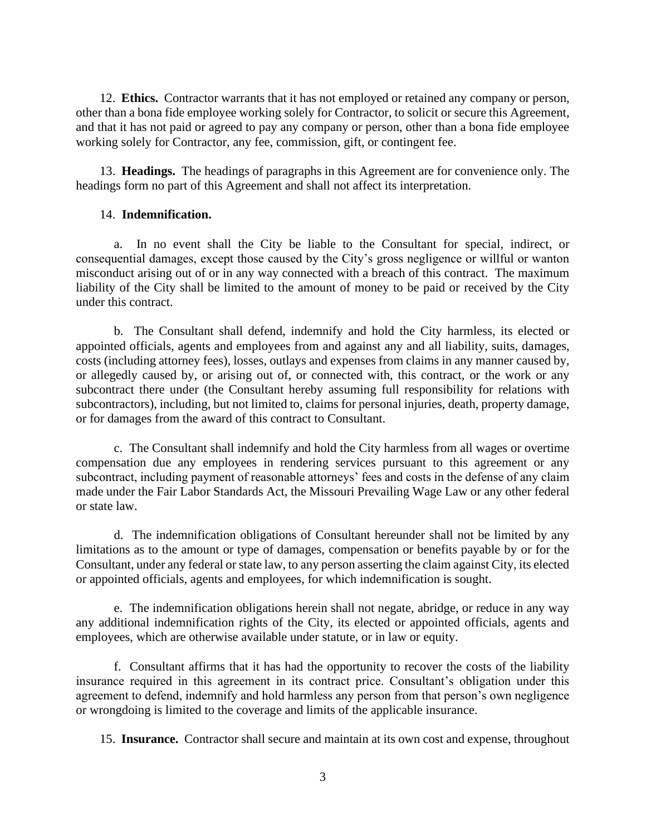12. **Ethics.** Contractor warrants that it has not employed or retained any company or person, other than a bona fide employee working solely for Contractor, to solicit or secure this Agreement, and that it has not paid or agreed to pay any company or person, other than a bona fide employee working solely for Contractor, any fee, commission, gift, or contingent fee.

13. **Headings.** The headings of paragraphs in this Agreement are for convenience only. The headings form no part of this Agreement and shall not affect its interpretation.

## 14. **Indemnification.**

a. In no event shall the City be liable to the Consultant for special, indirect, or consequential damages, except those caused by the City's gross negligence or willful or wanton misconduct arising out of or in any way connected with a breach of this contract. The maximum liability of the City shall be limited to the amount of money to be paid or received by the City under this contract.

b. The Consultant shall defend, indemnify and hold the City harmless, its elected or appointed officials, agents and employees from and against any and all liability, suits, damages, costs (including attorney fees), losses, outlays and expenses from claims in any manner caused by, or allegedly caused by, or arising out of, or connected with, this contract, or the work or any subcontract there under (the Consultant hereby assuming full responsibility for relations with subcontractors), including, but not limited to, claims for personal injuries, death, property damage, or for damages from the award of this contract to Consultant.

c. The Consultant shall indemnify and hold the City harmless from all wages or overtime compensation due any employees in rendering services pursuant to this agreement or any subcontract, including payment of reasonable attorneys' fees and costs in the defense of any claim made under the Fair Labor Standards Act, the Missouri Prevailing Wage Law or any other federal or state law.

d. The indemnification obligations of Consultant hereunder shall not be limited by any limitations as to the amount or type of damages, compensation or benefits payable by or for the Consultant, under any federal or state law, to any person asserting the claim against City, its elected or appointed officials, agents and employees, for which indemnification is sought.

e. The indemnification obligations herein shall not negate, abridge, or reduce in any way any additional indemnification rights of the City, its elected or appointed officials, agents and employees, which are otherwise available under statute, or in law or equity.

f. Consultant affirms that it has had the opportunity to recover the costs of the liability insurance required in this agreement in its contract price. Consultant's obligation under this agreement to defend, indemnify and hold harmless any person from that person's own negligence or wrongdoing is limited to the coverage and limits of the applicable insurance.

15. **Insurance.** Contractor shall secure and maintain at its own cost and expense, throughout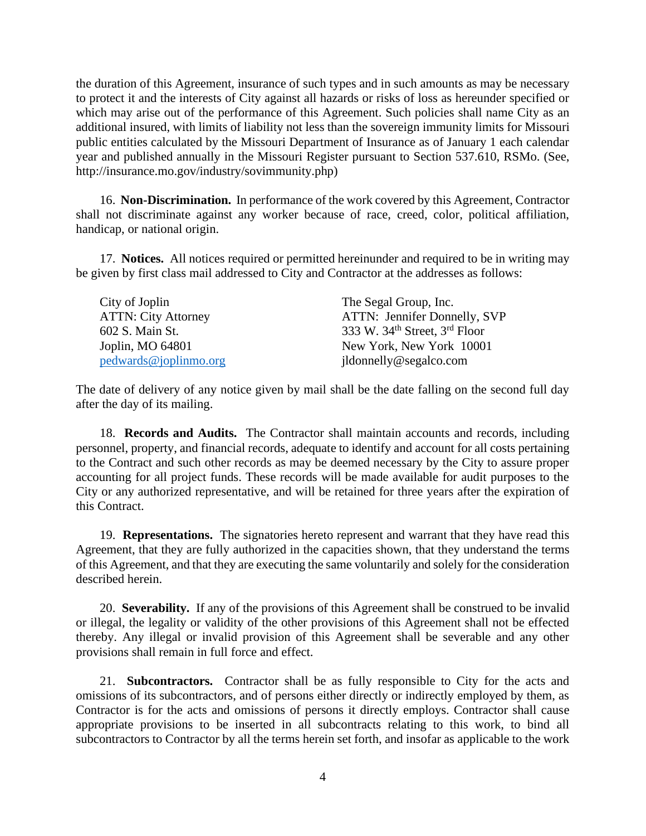the duration of this Agreement, insurance of such types and in such amounts as may be necessary to protect it and the interests of City against all hazards or risks of loss as hereunder specified or which may arise out of the performance of this Agreement. Such policies shall name City as an additional insured, with limits of liability not less than the sovereign immunity limits for Missouri public entities calculated by the Missouri Department of Insurance as of January 1 each calendar year and published annually in the Missouri Register pursuant to Section 537.610, RSMo. (See, http://insurance.mo.gov/industry/sovimmunity.php)

16. **Non-Discrimination.** In performance of the work covered by this Agreement, Contractor shall not discriminate against any worker because of race, creed, color, political affiliation, handicap, or national origin.

17. **Notices.** All notices required or permitted hereinunder and required to be in writing may be given by first class mail addressed to City and Contractor at the addresses as follows:

| City of Joplin             | The Segal Group, Inc.                          |
|----------------------------|------------------------------------------------|
| <b>ATTN: City Attorney</b> | ATTN: Jennifer Donnelly, SVP                   |
| 602 S. Main St.            | 333 W. 34 <sup>th</sup> Street, $3^{rd}$ Floor |
| Joplin, MO 64801           | New York, New York 10001                       |
| pedwards@iophimo.org       | jldonnelly@segalco.com                         |

The date of delivery of any notice given by mail shall be the date falling on the second full day after the day of its mailing.

18. **Records and Audits.** The Contractor shall maintain accounts and records, including personnel, property, and financial records, adequate to identify and account for all costs pertaining to the Contract and such other records as may be deemed necessary by the City to assure proper accounting for all project funds. These records will be made available for audit purposes to the City or any authorized representative, and will be retained for three years after the expiration of this Contract.

19. **Representations.** The signatories hereto represent and warrant that they have read this Agreement, that they are fully authorized in the capacities shown, that they understand the terms of this Agreement, and that they are executing the same voluntarily and solely for the consideration described herein.

20. **Severability.** If any of the provisions of this Agreement shall be construed to be invalid or illegal, the legality or validity of the other provisions of this Agreement shall not be effected thereby. Any illegal or invalid provision of this Agreement shall be severable and any other provisions shall remain in full force and effect.

21. **Subcontractors.** Contractor shall be as fully responsible to City for the acts and omissions of its subcontractors, and of persons either directly or indirectly employed by them, as Contractor is for the acts and omissions of persons it directly employs. Contractor shall cause appropriate provisions to be inserted in all subcontracts relating to this work, to bind all subcontractors to Contractor by all the terms herein set forth, and insofar as applicable to the work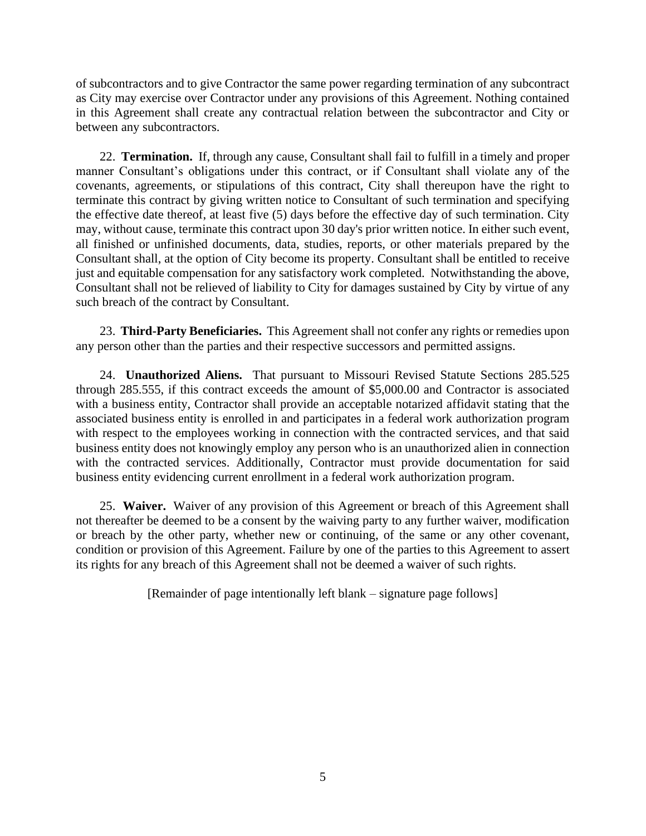of subcontractors and to give Contractor the same power regarding termination of any subcontract as City may exercise over Contractor under any provisions of this Agreement. Nothing contained in this Agreement shall create any contractual relation between the subcontractor and City or between any subcontractors.

22. **Termination.** If, through any cause, Consultant shall fail to fulfill in a timely and proper manner Consultant's obligations under this contract, or if Consultant shall violate any of the covenants, agreements, or stipulations of this contract, City shall thereupon have the right to terminate this contract by giving written notice to Consultant of such termination and specifying the effective date thereof, at least five (5) days before the effective day of such termination. City may, without cause, terminate this contract upon 30 day's prior written notice. In either such event, all finished or unfinished documents, data, studies, reports, or other materials prepared by the Consultant shall, at the option of City become its property. Consultant shall be entitled to receive just and equitable compensation for any satisfactory work completed. Notwithstanding the above, Consultant shall not be relieved of liability to City for damages sustained by City by virtue of any such breach of the contract by Consultant.

23. **Third-Party Beneficiaries.** This Agreement shall not confer any rights or remedies upon any person other than the parties and their respective successors and permitted assigns.

24. **Unauthorized Aliens.** That pursuant to Missouri Revised Statute Sections 285.525 through 285.555, if this contract exceeds the amount of \$5,000.00 and Contractor is associated with a business entity, Contractor shall provide an acceptable notarized affidavit stating that the associated business entity is enrolled in and participates in a federal work authorization program with respect to the employees working in connection with the contracted services, and that said business entity does not knowingly employ any person who is an unauthorized alien in connection with the contracted services. Additionally, Contractor must provide documentation for said business entity evidencing current enrollment in a federal work authorization program.

25. **Waiver.** Waiver of any provision of this Agreement or breach of this Agreement shall not thereafter be deemed to be a consent by the waiving party to any further waiver, modification or breach by the other party, whether new or continuing, of the same or any other covenant, condition or provision of this Agreement. Failure by one of the parties to this Agreement to assert its rights for any breach of this Agreement shall not be deemed a waiver of such rights.

[Remainder of page intentionally left blank – signature page follows]